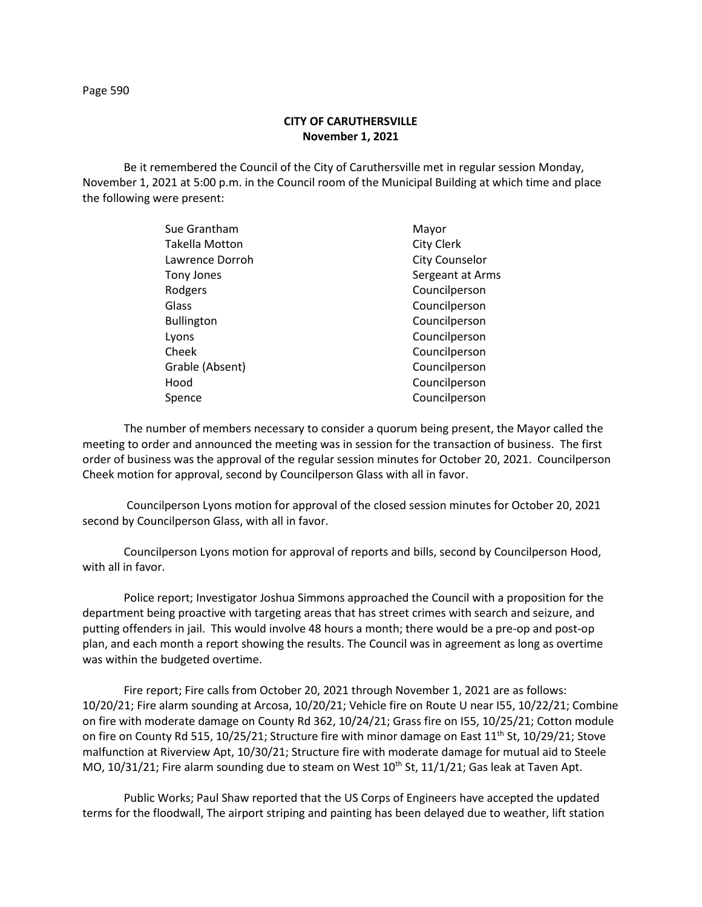Page 590

## **CITY OF CARUTHERSVILLE November 1, 2021**

Be it remembered the Council of the City of Caruthersville met in regular session Monday, November 1, 2021 at 5:00 p.m. in the Council room of the Municipal Building at which time and place the following were present:

| Sue Grantham      | Mayor                 |
|-------------------|-----------------------|
| Takella Motton    | <b>City Clerk</b>     |
| Lawrence Dorroh   | <b>City Counselor</b> |
| Tony Jones        | Sergeant at Arms      |
| Rodgers           | Councilperson         |
| Glass             | Councilperson         |
| <b>Bullington</b> | Councilperson         |
| Lyons             | Councilperson         |
| Cheek             | Councilperson         |
| Grable (Absent)   | Councilperson         |
| Hood              | Councilperson         |
| Spence            | Councilperson         |
|                   |                       |

The number of members necessary to consider a quorum being present, the Mayor called the meeting to order and announced the meeting was in session for the transaction of business. The first order of business was the approval of the regular session minutes for October 20, 2021. Councilperson Cheek motion for approval, second by Councilperson Glass with all in favor.

Councilperson Lyons motion for approval of the closed session minutes for October 20, 2021 second by Councilperson Glass, with all in favor.

Councilperson Lyons motion for approval of reports and bills, second by Councilperson Hood, with all in favor.

Police report; Investigator Joshua Simmons approached the Council with a proposition for the department being proactive with targeting areas that has street crimes with search and seizure, and putting offenders in jail. This would involve 48 hours a month; there would be a pre-op and post-op plan, and each month a report showing the results. The Council was in agreement as long as overtime was within the budgeted overtime.

Fire report; Fire calls from October 20, 2021 through November 1, 2021 are as follows: 10/20/21; Fire alarm sounding at Arcosa, 10/20/21; Vehicle fire on Route U near I55, 10/22/21; Combine on fire with moderate damage on County Rd 362, 10/24/21; Grass fire on I55, 10/25/21; Cotton module on fire on County Rd 515, 10/25/21; Structure fire with minor damage on East 11<sup>th</sup> St, 10/29/21; Stove malfunction at Riverview Apt, 10/30/21; Structure fire with moderate damage for mutual aid to Steele MO,  $10/31/21$ ; Fire alarm sounding due to steam on West  $10^{th}$  St,  $11/1/21$ ; Gas leak at Taven Apt.

Public Works; Paul Shaw reported that the US Corps of Engineers have accepted the updated terms for the floodwall, The airport striping and painting has been delayed due to weather, lift station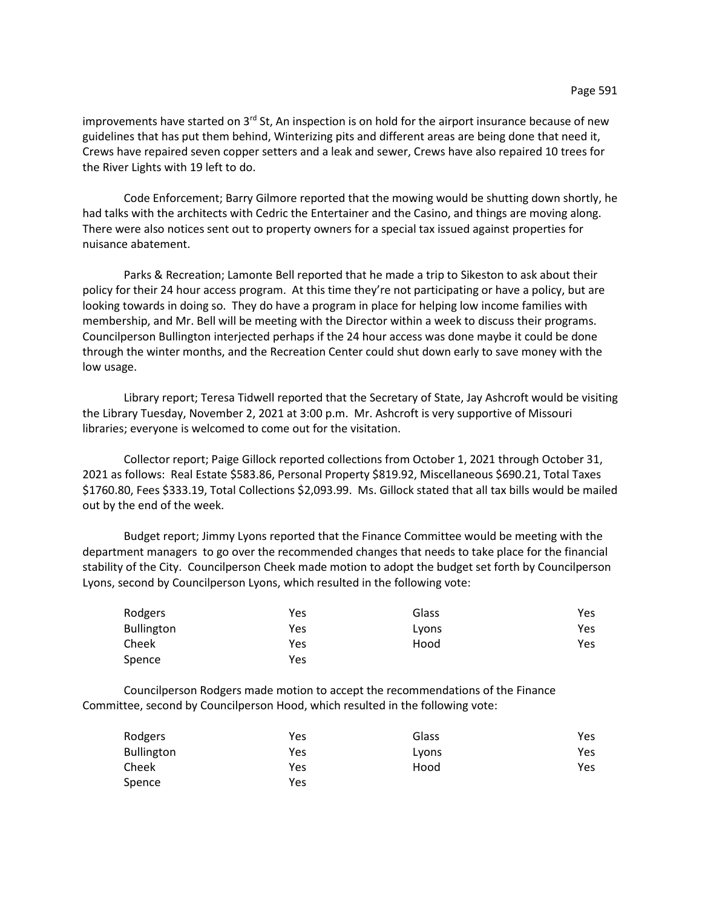improvements have started on  $3<sup>rd</sup>$  St, An inspection is on hold for the airport insurance because of new guidelines that has put them behind, Winterizing pits and different areas are being done that need it, Crews have repaired seven copper setters and a leak and sewer, Crews have also repaired 10 trees for the River Lights with 19 left to do.

Code Enforcement; Barry Gilmore reported that the mowing would be shutting down shortly, he had talks with the architects with Cedric the Entertainer and the Casino, and things are moving along. There were also notices sent out to property owners for a special tax issued against properties for nuisance abatement.

Parks & Recreation; Lamonte Bell reported that he made a trip to Sikeston to ask about their policy for their 24 hour access program. At this time they're not participating or have a policy, but are looking towards in doing so. They do have a program in place for helping low income families with membership, and Mr. Bell will be meeting with the Director within a week to discuss their programs. Councilperson Bullington interjected perhaps if the 24 hour access was done maybe it could be done through the winter months, and the Recreation Center could shut down early to save money with the low usage.

Library report; Teresa Tidwell reported that the Secretary of State, Jay Ashcroft would be visiting the Library Tuesday, November 2, 2021 at 3:00 p.m. Mr. Ashcroft is very supportive of Missouri libraries; everyone is welcomed to come out for the visitation.

Collector report; Paige Gillock reported collections from October 1, 2021 through October 31, 2021 as follows: Real Estate \$583.86, Personal Property \$819.92, Miscellaneous \$690.21, Total Taxes \$1760.80, Fees \$333.19, Total Collections \$2,093.99. Ms. Gillock stated that all tax bills would be mailed out by the end of the week.

Budget report; Jimmy Lyons reported that the Finance Committee would be meeting with the department managers to go over the recommended changes that needs to take place for the financial stability of the City. Councilperson Cheek made motion to adopt the budget set forth by Councilperson Lyons, second by Councilperson Lyons, which resulted in the following vote:

| Rodgers    | Yes | Glass | Yes |
|------------|-----|-------|-----|
| Bullington | Yes | Lyons | Yes |
| Cheek      | Yes | Hood  | Yes |
| Spence     | Yes |       |     |

Councilperson Rodgers made motion to accept the recommendations of the Finance Committee, second by Councilperson Hood, which resulted in the following vote:

| Rodgers           | Yes | Glass | Yes  |
|-------------------|-----|-------|------|
| <b>Bullington</b> | Yes | Lyons | Yes  |
| Cheek             | Yes | Hood  | Yes. |
| Spence            | Yes |       |      |